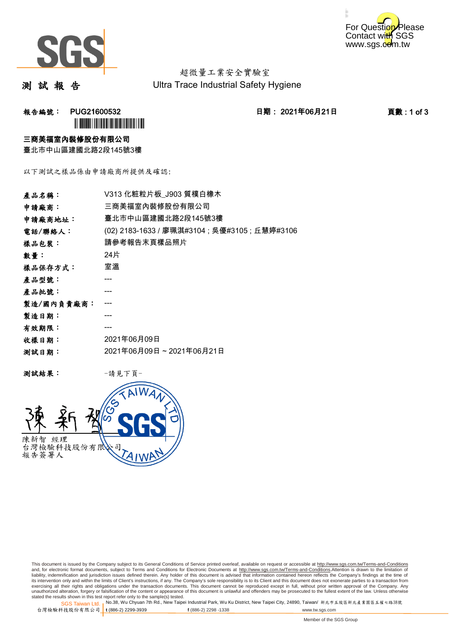



超微量工業安全實驗室 Ultra Trace Industrial Safety Hygiene

測 試 報 告

报告編號: PUG21600532 2021年06月21日 日期: 2021年06月21日 2021年06月21日 百數 : 1 of 3 **`** 

### 三商美福室內裝修股份有限公司

臺北市中山區建國北路2段145號3樓

以下測試之樣品係由申請廠商所提供及確認:

| 產品名稱:      | V313 化粧粒片板 J903 質樸白橡木                          |  |  |
|------------|------------------------------------------------|--|--|
| 申請廠商:      | 三商美福室內裝修股份有限公司                                 |  |  |
| 申請廠商地址:    | 臺北市中山區建國北路2段145號3樓                             |  |  |
| 電話/聯絡人:    | (02) 2183-1633 / 廖珮淇#3104 ; 吳優#3105 ; 丘慧婷#3106 |  |  |
| 樣品包裝:      | 請參考報告末頁樣品照片                                    |  |  |
| 數量:        | 24片                                            |  |  |
| 樣品保存方式:    | 室溫                                             |  |  |
| 產品型號:      |                                                |  |  |
| 產品批號:      |                                                |  |  |
| 製造/國內負責廠商: |                                                |  |  |
| 製造日期:      |                                                |  |  |
| 有效期限:      |                                                |  |  |
| 收樣日期:      | 2021年06月09日                                    |  |  |
| 测試日期:      | 2021年06月09日~2021年06月21日                        |  |  |
|            |                                                |  |  |

测試結果: 一請見下頁



This document is issued by the Company subject to its General Conditions of Service printed overleaf, available on request or accessible at http://www.sgs.com.tw/Terms-and-Conditions and, for electronic format documents, subject to Terms and Conditions for Electronic Documents at <u>http://www.sgs.com.tw/Terms-and-Conditions</u>.Attention is drawn to the limitation of<br>liability, indemnification and jurisdic exercising all their rights and obligations under the transaction documents. This document cannot be reproduced except in full, without prior written approval of the Company. Any<br>unauthorized alteration, forgery or falsifi

SGS Taiwan Ltd. 1 stated the results shown in this test report refer only to the sample(s) tested.<br>Stated the results shown in this test report refer only to the sample(s) tested.

台灣檢驗科技股份有限公司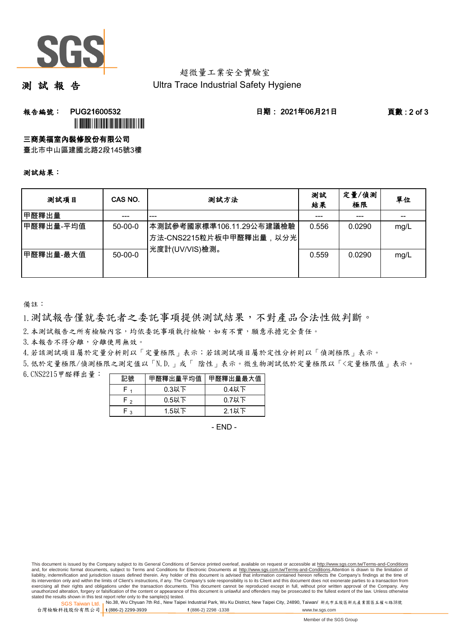

# 超微量工業安全實驗室 Ultra Trace Industrial Safety Hygiene

測 試 報 告

# **報告編號: PUG21600532 日期: 2021年06月21日 頁數:2 of 3** ÌPUG21600532GÎ

三商美福室內裝修股份有限公司

臺北市中山區建國北路2段145號3樓

### 測試結果:

| 测試項目      | CAS NO.       | 测試方法                                                                      | 測試<br>結果 | 定量/偵測<br>極限 | 單位   |
|-----------|---------------|---------------------------------------------------------------------------|----------|-------------|------|
| 甲醛釋出量     |               | ---                                                                       |          | ---         |      |
| 甲醛釋出量-平均值 | $50 - 00 - 0$ | ┃本測試參考國家標準106.11.29公布建議檢驗<br>┃方法-CNS2215粒片板中甲醛釋出量,以分光┃<br>∤光度計(UV/VIS)檢測。 | 0.556    | 0.0290      | mg/L |
| 甲醛釋出量-最大值 | $50 - 00 - 0$ |                                                                           | 0.559    | 0.0290      | mg/L |

備註:

1.測試報告僅就委託者之委託事項提供測試結果,不對產品合法性做判斷。

2. 本測試報告之所有檢驗內容,均依委託事項執行檢驗,如有不實,願意承擔完全責任。

3. 本報告不得分離,分離使用無效。

4.若該測試項目屬於定量分析則以「定量極限」表示;若該測試項目屬於定性分析則以「偵測極限」表示。

5.低於定量極限/偵測極限之測定值以「N.D.」或「 陰性」表示。微生物測試低於定量極限以「<定量極限值」表示。

6.CNS2215甲醛釋出量: 

| 記號  | 甲醛釋出量平均值 | 甲醛釋出量最大值 |
|-----|----------|----------|
|     | $0.3$ 以下 | $0.4$ 以下 |
| ه ۲ | $0.5$ 以下 | $0.7$ 以下 |
| ່າ  | $1.5$ 以下 | $2.1$ 以下 |

- END -

This document is issued by the Company subject to its General Conditions of Service printed overleaf, available on request or accessible at http://www.sgs.com.tw/Terms-and-Conditions and, for electronic format documents, subject to Terms and Conditions for Electronic Documents at http://www.sgs.com.tw/Terms-and-Conditions.Attention is drawn to the limitation of liability, indemnification and jurisdiction issues defined therein. Any holder of this document is advised that information contained hereon reflects the Company's findings at the time of<br>its intervention only and within t exercising all their rights and obligations under the transaction documents. This document cannot be reproduced except in full, without prior written approval of the Company. Any<br>unauthorized alteration, forgery or falsifi

SGS Taiwan Ltd. 1 stated the results shown in this test report refer only to the sample(s) tested.<br>Stated the results shown in this test report refer only to the sample(s) tested.

台灣檢驗科技股份有限公司